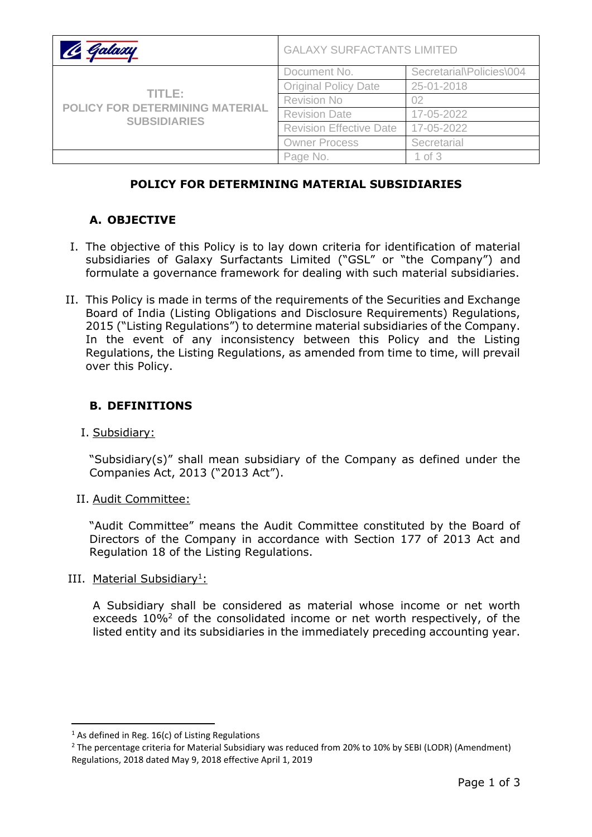| Galaxu                                                           | <b>GALAXY SURFACTANTS LIMITED</b> |                          |
|------------------------------------------------------------------|-----------------------------------|--------------------------|
| TITLE:<br>POLICY FOR DETERMINING MATERIAL<br><b>SUBSIDIARIES</b> | Document No.                      | Secretarial\Policies\004 |
|                                                                  | <b>Original Policy Date</b>       | 25-01-2018               |
|                                                                  | <b>Revision No</b>                | 02                       |
|                                                                  | <b>Revision Date</b>              | 17-05-2022               |
|                                                                  | <b>Revision Effective Date</b>    | 17-05-2022               |
|                                                                  | <b>Owner Process</b>              | Secretarial              |
|                                                                  | Page No.                          | 1 of $3$                 |

### **POLICY FOR DETERMINING MATERIAL SUBSIDIARIES**

## **A. OBJECTIVE**

- I. The objective of this Policy is to lay down criteria for identification of material subsidiaries of Galaxy Surfactants Limited ("GSL" or "the Company") and formulate a governance framework for dealing with such material subsidiaries.
- II. This Policy is made in terms of the requirements of the Securities and Exchange Board of India (Listing Obligations and Disclosure Requirements) Regulations, 2015 ("Listing Regulations") to determine material subsidiaries of the Company. In the event of any inconsistency between this Policy and the Listing Regulations, the Listing Regulations, as amended from time to time, will prevail over this Policy.

#### **B. DEFINITIONS**

I. Subsidiary:

"Subsidiary(s)" shall mean subsidiary of the Company as defined under the Companies Act, 2013 ("2013 Act").

II. Audit Committee:

"Audit Committee" means the Audit Committee constituted by the Board of Directors of the Company in accordance with Section 177 of 2013 Act and Regulation 18 of the Listing Regulations.

III. Material Subsidiary<sup>1</sup>:

A Subsidiary shall be considered as material whose income or net worth exceeds 10%<sup>2</sup> of the consolidated income or net worth respectively, of the listed entity and its subsidiaries in the immediately preceding accounting year.

 $1$  As defined in Reg. 16(c) of Listing Regulations

<sup>&</sup>lt;sup>2</sup> The percentage criteria for Material Subsidiary was reduced from 20% to 10% by SEBI (LODR) (Amendment) Regulations, 2018 dated May 9, 2018 effective April 1, 2019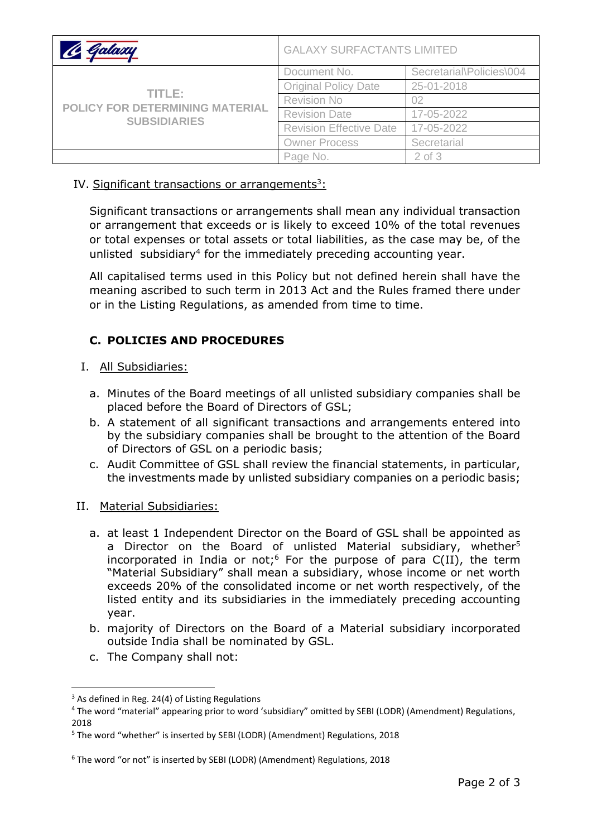| Galaxu                                                                  | <b>GALAXY SURFACTANTS LIMITED</b> |                          |
|-------------------------------------------------------------------------|-----------------------------------|--------------------------|
| TITLE:<br><b>POLICY FOR DETERMINING MATERIAL</b><br><b>SUBSIDIARIES</b> | Document No.                      | Secretarial\Policies\004 |
|                                                                         | <b>Original Policy Date</b>       | 25-01-2018               |
|                                                                         | <b>Revision No</b>                | Ω2                       |
|                                                                         | <b>Revision Date</b>              | 17-05-2022               |
|                                                                         | <b>Revision Effective Date</b>    | 17-05-2022               |
|                                                                         | <b>Owner Process</b>              | Secretarial              |
|                                                                         | Page No.                          | $2$ of $3$               |

IV. Significant transactions or arrangements<sup>3</sup>:

Significant transactions or arrangements shall mean any individual transaction or arrangement that exceeds or is likely to exceed 10% of the total revenues or total expenses or total assets or total liabilities, as the case may be, of the unlisted subsidiary<sup>4</sup> for the immediately preceding accounting year.

All capitalised terms used in this Policy but not defined herein shall have the meaning ascribed to such term in 2013 Act and the Rules framed there under or in the Listing Regulations, as amended from time to time.

# **C. POLICIES AND PROCEDURES**

- I. All Subsidiaries:
	- a. Minutes of the Board meetings of all unlisted subsidiary companies shall be placed before the Board of Directors of GSL;
	- b. A statement of all significant transactions and arrangements entered into by the subsidiary companies shall be brought to the attention of the Board of Directors of GSL on a periodic basis;
	- c. Audit Committee of GSL shall review the financial statements, in particular, the investments made by unlisted subsidiary companies on a periodic basis;
- II. Material Subsidiaries:
	- a. at least 1 Independent Director on the Board of GSL shall be appointed as a Director on the Board of unlisted Material subsidiary, whether<sup>5</sup> incorporated in India or not;<sup>6</sup> For the purpose of para  $C(II)$ , the term "Material Subsidiary" shall mean a subsidiary, whose income or net worth exceeds 20% of the consolidated income or net worth respectively, of the listed entity and its subsidiaries in the immediately preceding accounting year.
	- b. majority of Directors on the Board of a Material subsidiary incorporated outside India shall be nominated by GSL.
	- c. The Company shall not:

 $3$  As defined in Reg. 24(4) of Listing Regulations

<sup>4</sup> The word "material" appearing prior to word 'subsidiary" omitted by SEBI (LODR) (Amendment) Regulations, 2018

<sup>5</sup> The word "whether" is inserted by SEBI (LODR) (Amendment) Regulations, 2018

<sup>6</sup> The word "or not" is inserted by SEBI (LODR) (Amendment) Regulations, 2018